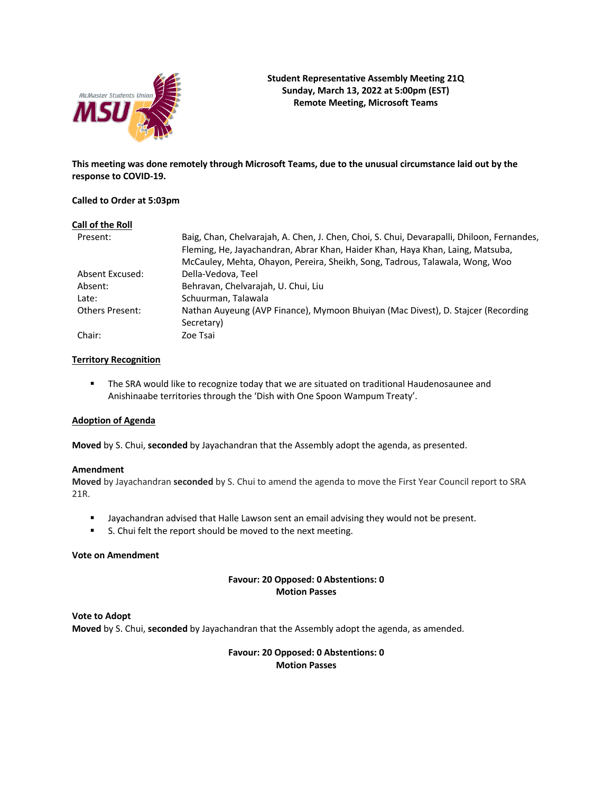

**This meeting was done remotely through Microsoft Teams, due to the unusual circumstance laid out by the response to COVID-19.**

### **Called to Order at 5:03pm**

| Call of the Roll       |                                                                                                                                                                                                                                                              |
|------------------------|--------------------------------------------------------------------------------------------------------------------------------------------------------------------------------------------------------------------------------------------------------------|
| Present:               | Baig, Chan, Chelvarajah, A. Chen, J. Chen, Choi, S. Chui, Devarapalli, Dhiloon, Fernandes,<br>Fleming, He, Jayachandran, Abrar Khan, Haider Khan, Haya Khan, Laing, Matsuba,<br>McCauley, Mehta, Ohayon, Pereira, Sheikh, Song, Tadrous, Talawala, Wong, Woo |
|                        |                                                                                                                                                                                                                                                              |
| Absent Excused:        | Della-Vedova, Teel                                                                                                                                                                                                                                           |
| Absent:                | Behravan, Chelvarajah, U. Chui, Liu                                                                                                                                                                                                                          |
| Late:                  | Schuurman, Talawala                                                                                                                                                                                                                                          |
| <b>Others Present:</b> | Nathan Auyeung (AVP Finance), Mymoon Bhuiyan (Mac Divest), D. Stajcer (Recording                                                                                                                                                                             |
|                        | Secretary)                                                                                                                                                                                                                                                   |
| Chair:                 | Zoe Tsai                                                                                                                                                                                                                                                     |

### **Territory Recognition**

**• The SRA would like to recognize today that we are situated on traditional Haudenosaunee and** Anishinaabe territories through the 'Dish with One Spoon Wampum Treaty'.

#### **Adoption of Agenda**

**Moved** by S. Chui, **seconded** by Jayachandran that the Assembly adopt the agenda, as presented.

#### **Amendment**

**Moved** by Jayachandran **seconded** by S. Chui to amend the agenda to move the First Year Council report to SRA 21R.

- § Jayachandran advised that Halle Lawson sent an email advising they would not be present.
- S. Chui felt the report should be moved to the next meeting.

## **Vote on Amendment**

### **Favour: 20 Opposed: 0 Abstentions: 0 Motion Passes**

**Vote to Adopt Moved** by S. Chui, **seconded** by Jayachandran that the Assembly adopt the agenda, as amended.

> **Favour: 20 Opposed: 0 Abstentions: 0 Motion Passes**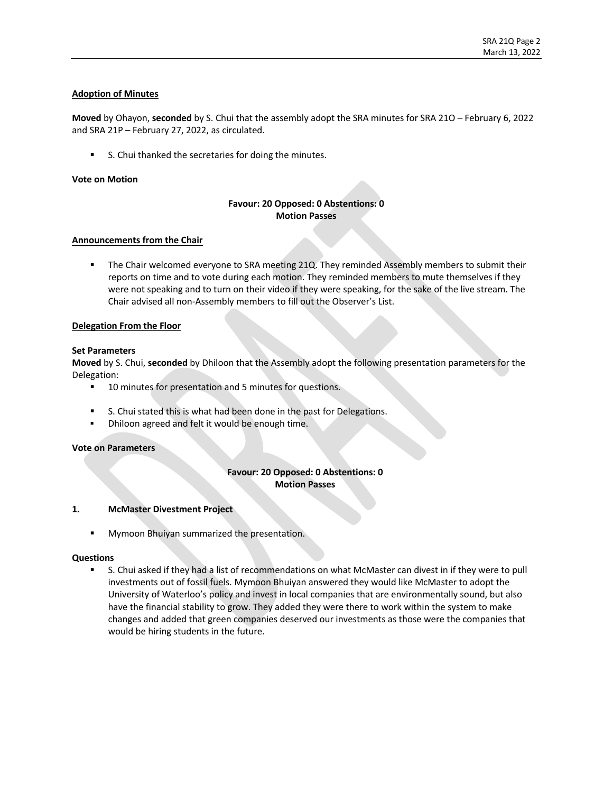# **Adoption of Minutes**

**Moved** by Ohayon, **seconded** by S. Chui that the assembly adopt the SRA minutes for SRA 21O – February 6, 2022 and SRA 21P – February 27, 2022, as circulated.

■ S. Chui thanked the secretaries for doing the minutes.

### **Vote on Motion**

# **Favour: 20 Opposed: 0 Abstentions: 0 Motion Passes**

#### **Announcements from the Chair**

The Chair welcomed everyone to SRA meeting 21Q. They reminded Assembly members to submit their reports on time and to vote during each motion. They reminded members to mute themselves if they were not speaking and to turn on their video if they were speaking, for the sake of the live stream. The Chair advised all non-Assembly members to fill out the Observer's List.

#### **Delegation From the Floor**

#### **Set Parameters**

**Moved** by S. Chui, **seconded** by Dhiloon that the Assembly adopt the following presentation parameters for the Delegation:

- 10 minutes for presentation and 5 minutes for questions.
- S. Chui stated this is what had been done in the past for Delegations.
- **•** Dhiloon agreed and felt it would be enough time.

# **Vote on Parameters**

# **Favour: 20 Opposed: 0 Abstentions: 0 Motion Passes**

#### **1. McMaster Divestment Project**

**■** Mymoon Bhuiyan summarized the presentation.

#### **Questions**

■ S. Chui asked if they had a list of recommendations on what McMaster can divest in if they were to pull investments out of fossil fuels. Mymoon Bhuiyan answered they would like McMaster to adopt the University of Waterloo's policy and invest in local companies that are environmentally sound, but also have the financial stability to grow. They added they were there to work within the system to make changes and added that green companies deserved our investments as those were the companies that would be hiring students in the future.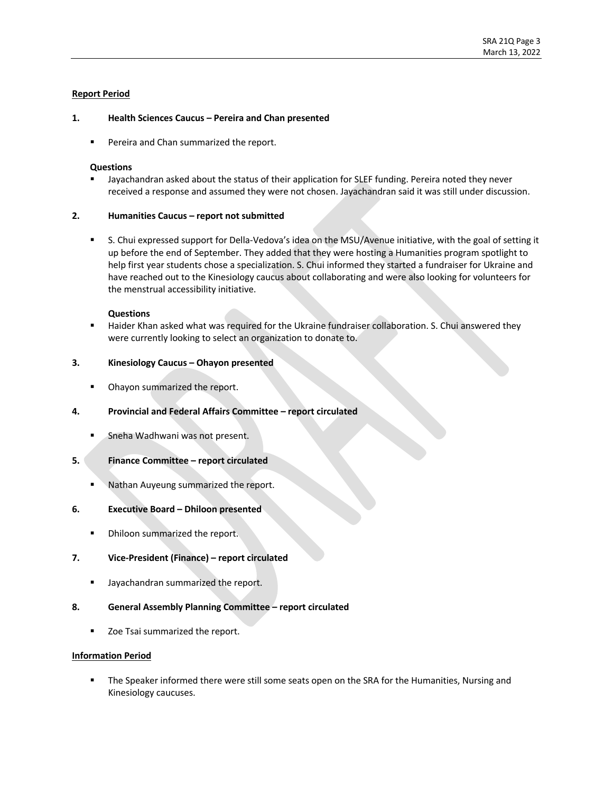## **Report Period**

### **1. Health Sciences Caucus – Pereira and Chan presented**

■ Pereira and Chan summarized the report.

#### **Questions**

§ Jayachandran asked about the status of their application for SLEF funding. Pereira noted they never received a response and assumed they were not chosen. Jayachandran said it was still under discussion.

#### **2. Humanities Caucus – report not submitted**

■ S. Chui expressed support for Della-Vedova's idea on the MSU/Avenue initiative, with the goal of setting it up before the end of September. They added that they were hosting a Humanities program spotlight to help first year students chose a specialization. S. Chui informed they started a fundraiser for Ukraine and have reached out to the Kinesiology caucus about collaborating and were also looking for volunteers for the menstrual accessibility initiative.

#### **Questions**

Haider Khan asked what was required for the Ukraine fundraiser collaboration. S. Chui answered they were currently looking to select an organization to donate to.

# **3. Kinesiology Caucus – Ohayon presented**

- **Ohayon summarized the report.**
- **4. Provincial and Federal Affairs Committee – report circulated**
	- Sneha Wadhwani was not present.

#### **5. Finance Committee – report circulated**

§ Nathan Auyeung summarized the report.

#### **6. Executive Board – Dhiloon presented**

**• Dhiloon summarized the report.** 

#### **7. Vice-President (Finance) – report circulated**

■ Jayachandran summarized the report.

#### **8. General Assembly Planning Committee – report circulated**

■ Zoe Tsai summarized the report.

#### **Information Period**

The Speaker informed there were still some seats open on the SRA for the Humanities, Nursing and Kinesiology caucuses.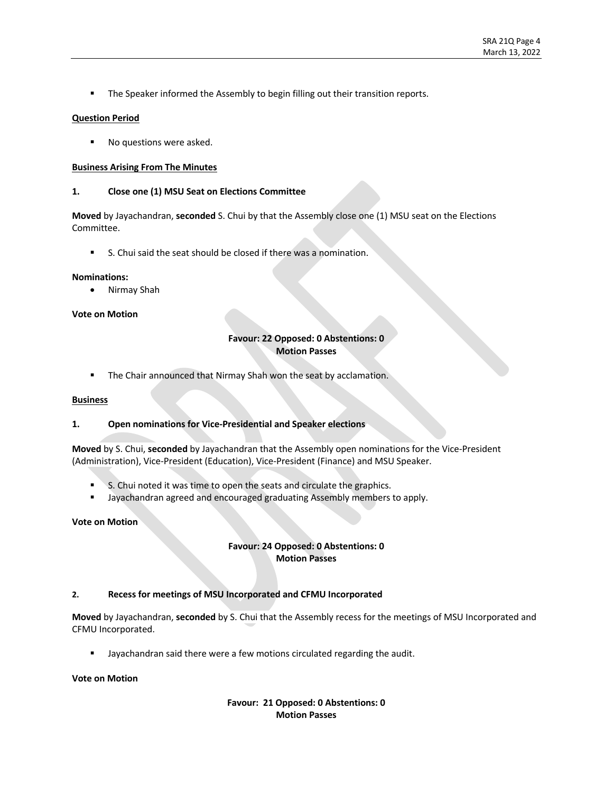**• The Speaker informed the Assembly to begin filling out their transition reports.** 

## **Question Period**

■ No questions were asked.

### **Business Arising From The Minutes**

### **1. Close one (1) MSU Seat on Elections Committee**

**Moved** by Jayachandran, **seconded** S. Chui by that the Assembly close one (1) MSU seat on the Elections Committee. 

■ S. Chui said the seat should be closed if there was a nomination.

#### **Nominations:**

• Nirmay Shah

### **Vote on Motion**

# **Favour: 22 Opposed: 0 Abstentions: 0 Motion Passes**

■ The Chair announced that Nirmay Shah won the seat by acclamation.

#### **Business**

# **1. Open nominations for Vice-Presidential and Speaker elections**

**Moved**by S. Chui, **seconded**by Jayachandran that the Assembly open nominations for the Vice-President (Administration), Vice-President (Education), Vice-President (Finance) and MSU Speaker.

- § S. Chui noted it was time to open the seats and circulate the graphics.
- Jayachandran agreed and encouraged graduating Assembly members to apply.

### **Vote on Motion**

# **Favour: 24 Opposed: 0 Abstentions: 0 Motion Passes**

# **2. Recess for meetings of MSU Incorporated and CFMU Incorporated**

**Moved**by Jayachandran, **seconded** by S. Chui that the Assembly recess for the meetings of MSU Incorporated and CFMU Incorporated.

Jayachandran said there were a few motions circulated regarding the audit.

#### **Vote on Motion**

**Favour: 21 Opposed: 0 Abstentions: 0 Motion Passes**